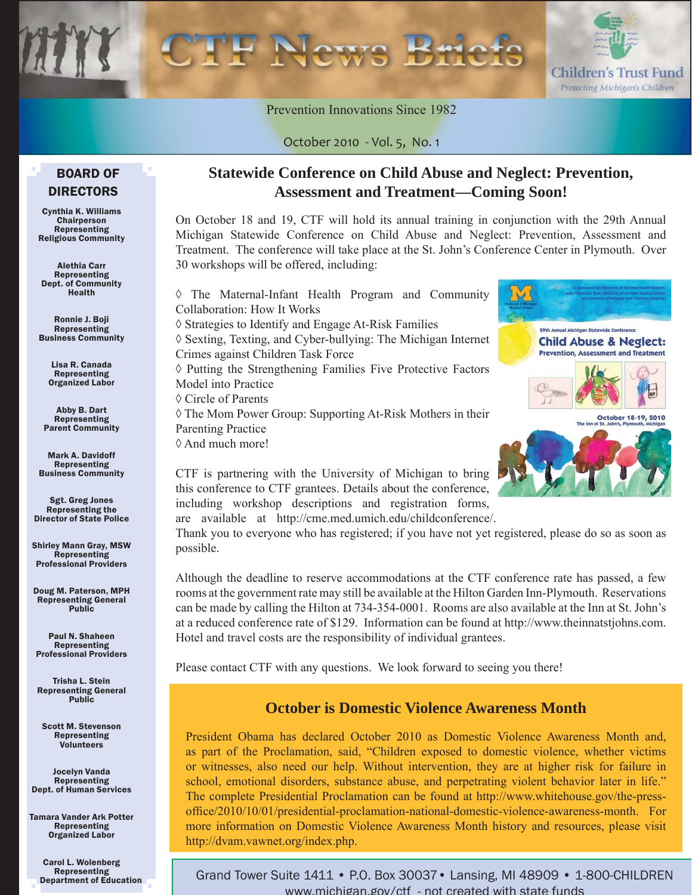

Prevention Innovations Since 1982

#### BOARD OF DIRECTORS

Cynthia K. Williams **Chairperson** Representing Religious Community

Alethia Carr Representing Dept. of Community Health

Ronnie J. Boji Representing Business Community

> Lisa R. Canada Representing Organized Labor

Abby B. Dart Representing Parent Community

Mark A. Davidoff Representing Business Community

Sgt. Greg Jones Representing the Director of State Police

Shirley Mann Gray, MSW Representing Professional Providers

Doug M. Paterson, MPH Representing General Public

Paul N. Shaheen Representing Professional Providers

Trisha L. Stein Representing General Public

Scott M. Stevenson Representing Volunteers

Jocelyn Vanda Representing Dept. of Human Services

Tamara Vander Ark Potter Representing Organized Labor

> Carol L. Wolenberg Representing Department of Education

#### **Statewide Conference on Child Abuse and Neglect: Prevention, Assessment and Treatment—Coming Soon!**

On October 18 and 19, CTF will hold its annual training in conjunction with the 29th Annual Michigan Statewide Conference on Child Abuse and Neglect: Prevention, Assessment and Treatment. The conference will take place at the St. John's Conference Center in Plymouth. Over 30 workshops will be offered, including:

| The Maternal-Infant Health Program and Community                      |
|-----------------------------------------------------------------------|
| Collaboration: How It Works                                           |
| $\Diamond$ Strategies to Identify and Engage At-Risk Families         |
| ♦ Sexting, Texting, and Cyber-bullying: The Michigan Internet         |
| Crimes against Children Task Force                                    |
| $\Diamond$ Putting the Strengthening Families Five Protective Factors |
| Model into Practice                                                   |
| ♦ Circle of Parents                                                   |
| $\Diamond$ The Mom Power Group: Supporting At-Risk Mothers in their   |
| <b>Parenting Practice</b>                                             |
| $\Diamond$ And much more!                                             |
|                                                                       |



CTF is partnering with the University of Michigan to bring this conference to CTF grantees. Details about the conference, including workshop descriptions and registration forms, are available at http://cme.med.umich.edu/childconference/.

Thank you to everyone who has registered; if you have not yet registered, please do so as soon as possible.

Although the deadline to reserve accommodations at the CTF conference rate has passed, a few rooms at the government rate may still be available at the Hilton Garden Inn-Plymouth. Reservations can be made by calling the Hilton at 734-354-0001. Rooms are also available at the Inn at St. John's at a reduced conference rate of \$129. Information can be found at http://www.theinnatstjohns.com. Hotel and travel costs are the responsibility of individual grantees.

Please contact CTF with any questions. We look forward to seeing you there!

#### **October is Domestic Violence Awareness Month**

President Obama has declared October 2010 as Domestic Violence Awareness Month and, as part of the Proclamation, said, "Children exposed to domestic violence, whether victims or witnesses, also need our help. Without intervention, they are at higher risk for failure in school, emotional disorders, substance abuse, and perpetrating violent behavior later in life." The complete Presidential Proclamation can be found at http://www.whitehouse.gov/the-pressoffice/2010/10/01/presidential-proclamation-national-domestic-violence-awareness-month. For more information on Domestic Violence Awareness Month history and resources, please visit http://dvam.vawnet.org/index.php.

Grand Tower Suite 1411 • P.O. Box 30037• Lansing, MI 48909 • 1-800-CHILDREN www.michigan.gov/ctf - not created with state funds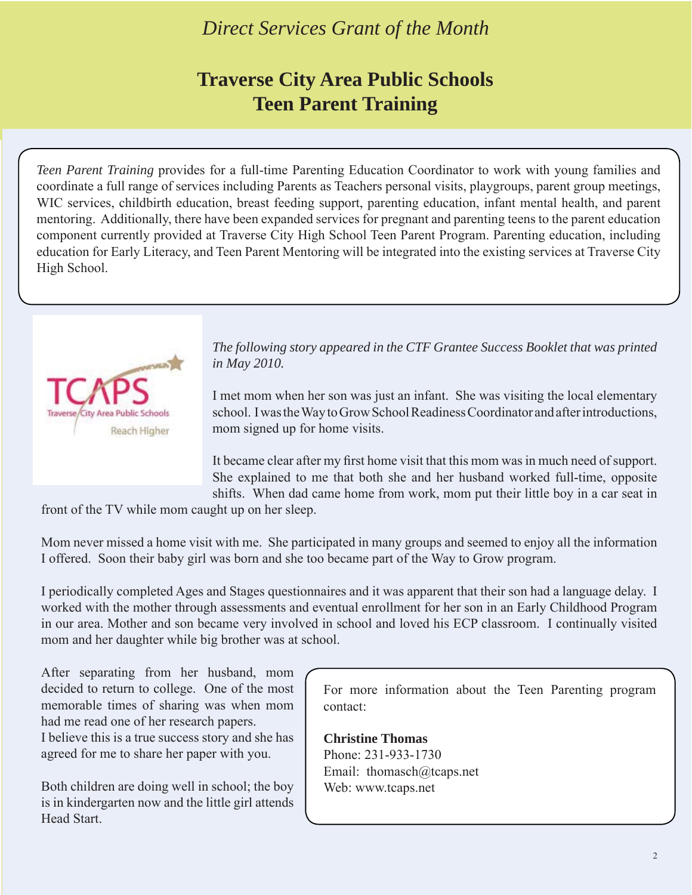#### *Direct Services Grant of the Month*

### **Traverse City Area Public Schools Teen Parent Training**

*Teen Parent Training* provides for a full-time Parenting Education Coordinator to work with young families and coordinate a full range of services including Parents as Teachers personal visits, playgroups, parent group meetings, WIC services, childbirth education, breast feeding support, parenting education, infant mental health, and parent mentoring. Additionally, there have been expanded services for pregnant and parenting teens to the parent education component currently provided at Traverse City High School Teen Parent Program. Parenting education, including education for Early Literacy, and Teen Parent Mentoring will be integrated into the existing services at Traverse City High School.



*The following story appeared in the CTF Grantee Success Booklet that was printed in May 2010.*

I met mom when her son was just an infant. She was visiting the local elementary school. I was the Way to Grow School Readiness Coordinator and after introductions, mom signed up for home visits.

It became clear after my first home visit that this mom was in much need of support. She explained to me that both she and her husband worked full-time, opposite shifts. When dad came home from work, mom put their little boy in a car seat in

front of the TV while mom caught up on her sleep.

Mom never missed a home visit with me. She participated in many groups and seemed to enjoy all the information I offered. Soon their baby girl was born and she too became part of the Way to Grow program.

I periodically completed Ages and Stages questionnaires and it was apparent that their son had a language delay. I worked with the mother through assessments and eventual enrollment for her son in an Early Childhood Program in our area. Mother and son became very involved in school and loved his ECP classroom. I continually visited mom and her daughter while big brother was at school.

After separating from her husband, mom decided to return to college. One of the most memorable times of sharing was when mom had me read one of her research papers.

I believe this is a true success story and she has agreed for me to share her paper with you.

Both children are doing well in school; the boy is in kindergarten now and the little girl attends Head Start.

For more information about the Teen Parenting program contact:

**Christine Thomas** Phone: 231-933-1730 Email: thomasch@tcaps.net Web: www.tcaps.net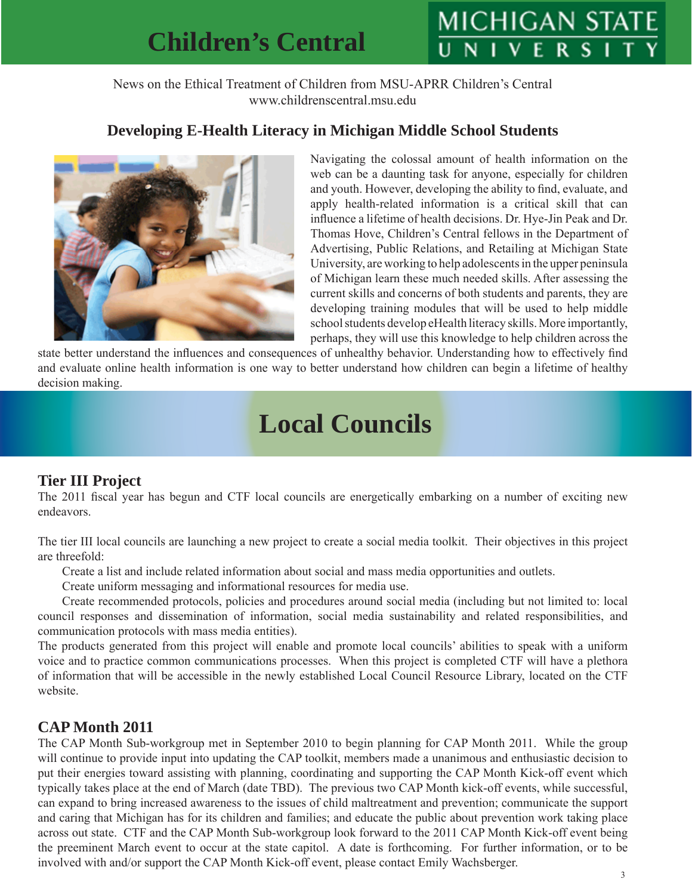## **Children's Central**

# MICHIGAN STA

News on the Ethical Treatment of Children from MSU-APRR Children's Central www.childrenscentral.msu.edu

#### **Developing E-Health Literacy in Michigan Middle School Students**



Navigating the colossal amount of health information on the web can be a daunting task for anyone, especially for children and youth. However, developing the ability to find, evaluate, and apply health-related information is a critical skill that can influence a lifetime of health decisions. Dr. Hye-Jin Peak and Dr. Thomas Hove, Children's Central fellows in the Department of Advertising, Public Relations, and Retailing at Michigan State University, are working to help adolescents in the upper peninsula of Michigan learn these much needed skills. After assessing the current skills and concerns of both students and parents, they are developing training modules that will be used to help middle school students develop eHealth literacy skills. More importantly, perhaps, they will use this knowledge to help children across the

state better understand the influences and consequences of unhealthy behavior. Understanding how to effectively find and evaluate online health information is one way to better understand how children can begin a lifetime of healthy decision making.

## **Local Councils**

#### **Tier III Project**

The 2011 fiscal year has begun and CTF local councils are energetically embarking on a number of exciting new endeavors.

The tier III local councils are launching a new project to create a social media toolkit. Their objectives in this project are threefold:

Create a list and include related information about social and mass media opportunities and outlets.

Create uniform messaging and informational resources for media use.

 Create recommended protocols, policies and procedures around social media (including but not limited to: local council responses and dissemination of information, social media sustainability and related responsibilities, and communication protocols with mass media entities).

The products generated from this project will enable and promote local councils' abilities to speak with a uniform voice and to practice common communications processes. When this project is completed CTF will have a plethora of information that will be accessible in the newly established Local Council Resource Library, located on the CTF website.

#### **CAP Month 2011**

The CAP Month Sub-workgroup met in September 2010 to begin planning for CAP Month 2011. While the group will continue to provide input into updating the CAP toolkit, members made a unanimous and enthusiastic decision to put their energies toward assisting with planning, coordinating and supporting the CAP Month Kick-off event which typically takes place at the end of March (date TBD). The previous two CAP Month kick-off events, while successful, can expand to bring increased awareness to the issues of child maltreatment and prevention; communicate the support and caring that Michigan has for its children and families; and educate the public about prevention work taking place across out state. CTF and the CAP Month Sub-workgroup look forward to the 2011 CAP Month Kick-off event being the preeminent March event to occur at the state capitol. A date is forthcoming. For further information, or to be involved with and/or support the CAP Month Kick-off event, please contact Emily Wachsberger.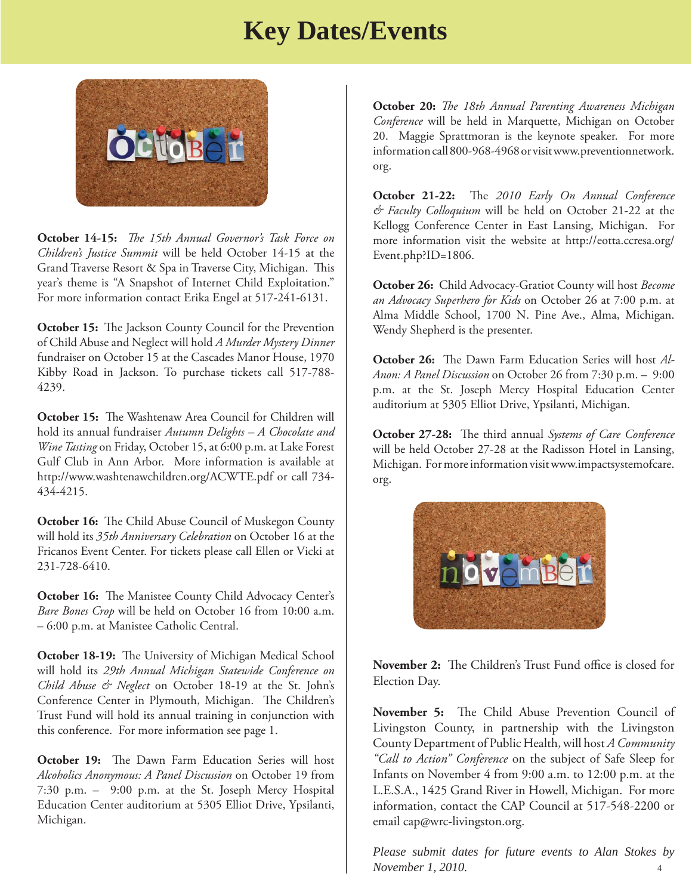## **Key Dates/Events**



**October 14-15:** *The 15th Annual Governor's Task Force on Children's Justice Summit* will be held October 14-15 at the Grand Traverse Resort & Spa in Traverse City, Michigan. This year's theme is "A Snapshot of Internet Child Exploitation." For more information contact Erika Engel at 517-241-6131.

**October 15:** The Jackson County Council for the Prevention of Child Abuse and Neglect will hold *A Murder Mystery Dinner* fundraiser on October 15 at the Cascades Manor House, 1970 Kibby Road in Jackson. To purchase tickets call 517-788- 4239.

**October 15:** The Washtenaw Area Council for Children will hold its annual fundraiser *Autumn Delights – A Chocolate and Wine Tasting* on Friday, October 15, at 6:00 p.m. at Lake Forest Gulf Club in Ann Arbor. More information is available at http://www.washtenawchildren.org/ACWTE.pdf or call 734- 434-4215.

October 16: The Child Abuse Council of Muskegon County will hold its *35th Anniversary Celebration* on October 16 at the Fricanos Event Center. For tickets please call Ellen or Vicki at 231-728-6410.

**October 16:** The Manistee County Child Advocacy Center's *Bare Bones Crop* will be held on October 16 from 10:00 a.m. – 6:00 p.m. at Manistee Catholic Central.

October 18-19: The University of Michigan Medical School will hold its *29th Annual Michigan Statewide Conference on Child Abuse & Neglect* on October 18-19 at the St. John's Conference Center in Plymouth, Michigan. The Children's Trust Fund will hold its annual training in conjunction with this conference. For more information see page 1.

**October 19:** The Dawn Farm Education Series will host *Alcoholics Anonymous: A Panel Discussion* on October 19 from 7:30 p.m. – 9:00 p.m. at the St. Joseph Mercy Hospital Education Center auditorium at 5305 Elliot Drive, Ypsilanti, Michigan.

**October 20:** *The 18th Annual Parenting Awareness Michigan Conference* will be held in Marquette, Michigan on October 20. Maggie Sprattmoran is the keynote speaker. For more [information call 800-968-4968 or visit www.preventionnetwork.](www.preventionnetwork.org) org.

**October 21-22:** The 2010 Early On Annual Conference *& Faculty Colloquium* will be held on October 21-22 at the Kellogg Conference Center in East Lansing, Michigan. For [more information visit the website at http://eotta.ccresa.org/](http://eotta.ccresa.org/Event.php?ID=1806) Event.php?ID=1806.

**October 26:** Child Advocacy-Gratiot County will host *Become an Advocacy Superhero for Kids* on October 26 at 7:00 p.m. at Alma Middle School, 1700 N. Pine Ave., Alma, Michigan. Wendy Shepherd is the presenter.

**October 26:** The Dawn Farm Education Series will host Al-*Anon: A Panel Discussion* on October 26 from 7:30 p.m. – 9:00 p.m. at the St. Joseph Mercy Hospital Education Center auditorium at 5305 Elliot Drive, Ypsilanti, Michigan.

**October 27-28:** The third annual *Systems of Care Conference* will be held October 27-28 at the Radisson Hotel in Lansing, Michigan. For more information visit www.impactsystemofcare. org.



**November 2:** The Children's Trust Fund office is closed for Election Day.

November 5: The Child Abuse Prevention Council of Livingston County, in partnership with the Livingston County Department of Public Health, will host *A Community "Call to Action" Conference* on the subject of Safe Sleep for Infants on November 4 from 9:00 a.m. to 12:00 p.m. at the L.E.S.A., 1425 Grand River in Howell, Michigan. For more information, contact the CAP Council at 517-548-2200 or email cap@wrc-livingston.org.

*Please submit dates for future events to Alan Stokes by November 1, 2010.* 4